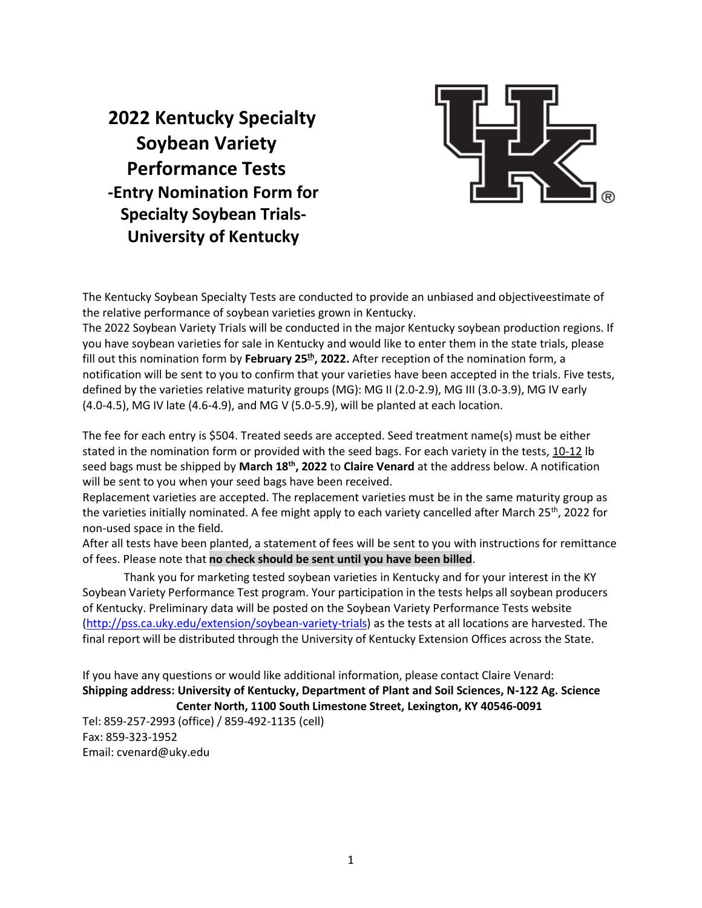# **2022 Kentucky Specialty Soybean Variety Performance Tests -Entry Nomination Form for Specialty Soybean Trials-University of Kentucky**



The Kentucky Soybean Specialty Tests are conducted to provide an unbiased and objectiveestimate of the relative performance of soybean varieties grown in Kentucky.

The 2022 Soybean Variety Trials will be conducted in the major Kentucky soybean production regions. If you have soybean varieties for sale in Kentucky and would like to enter them in the state trials, please fill out this nomination form by February 25<sup>th</sup>, 2022. After reception of the nomination form, a notification will be sent to you to confirm that your varieties have been accepted in the trials. Five tests, defined by the varieties relative maturity groups (MG): MG II (2.0-2.9), MG III (3.0-3.9), MG IV early (4.0-4.5), MG IV late (4.6-4.9), and MG V (5.0-5.9), will be planted at each location.

The fee for each entry is \$504. Treated seeds are accepted. Seed treatment name(s) must be either stated in the nomination form or provided with the seed bags. For each variety in the tests, 10-12 lb seed bags must be shipped by **March 18th, 2022** to **Claire Venard** at the address below. A notification will be sent to you when your seed bags have been received.

Replacement varieties are accepted. The replacement varieties must be in the same maturity group as the varieties initially nominated. A fee might apply to each variety cancelled after March 25<sup>th</sup>, 2022 for non-used space in the field.

After all tests have been planted, a statement of fees will be sent to you with instructions for remittance of fees. Please note that **no check should be sent until you have been billed**.

Thank you for marketing tested soybean varieties in Kentucky and for your interest in the KY Soybean Variety Performance Test program. Your participation in the tests helps all soybean producers of Kentucky. Preliminary data will be posted on the Soybean Variety Performance Tests website [\(http://pss.ca.uky.edu/extension/soybean-variety-trials\) a](http://pss.ca.uky.edu/extension/soybean-variety-trials)s the tests at all locations are harvested. The final report will be distributed through the University of Kentucky Extension Offices across the State.

If you have any questions or would like additional information, please contact Claire Venard: **Shipping address: University of Kentucky, Department of Plant and Soil Sciences, N-122 Ag. Science Center North, 1100 South Limestone Street, Lexington, KY 40546-0091** Tel: 859-257-2993 (office) / 859-492-1135 (cell) Fax: 859-323-1952

Email: [cvenard@uky.edu](mailto:cvenard@uky.edu)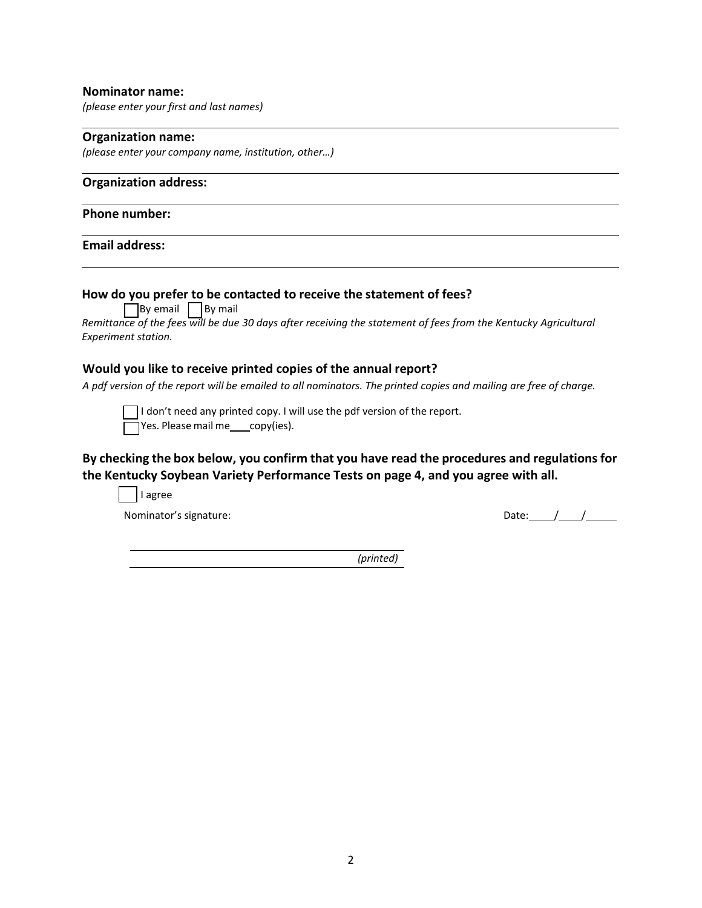## **Nominator name:**

*(please enter your first and last names)*

## **Organization name:**

*(please enter your company name, institution, other…)*

# **Organization address:**

## **Phone number:**

# **Email address:**

| спан аччгсээ.                                                                                                                                                                                                                       |       |
|-------------------------------------------------------------------------------------------------------------------------------------------------------------------------------------------------------------------------------------|-------|
| How do you prefer to be contacted to receive the statement of fees?<br>By email   By mail<br>Remittance of the fees will be due 30 days after receiving the statement of fees from the Kentucky Agricultural<br>Experiment station. |       |
| Would you like to receive printed copies of the annual report?<br>A pdf version of the report will be emailed to all nominators. The printed copies and mailing are free of charge.                                                 |       |
| I don't need any printed copy. I will use the pdf version of the report.<br>Yes. Please mail me ___ copy(ies).                                                                                                                      |       |
| By checking the box below, you confirm that you have read the procedures and regulations for<br>the Kentucky Soybean Variety Performance Tests on page 4, and you agree with all.<br>I agree                                        |       |
| Nominator's signature:                                                                                                                                                                                                              | Date: |

*(printed)*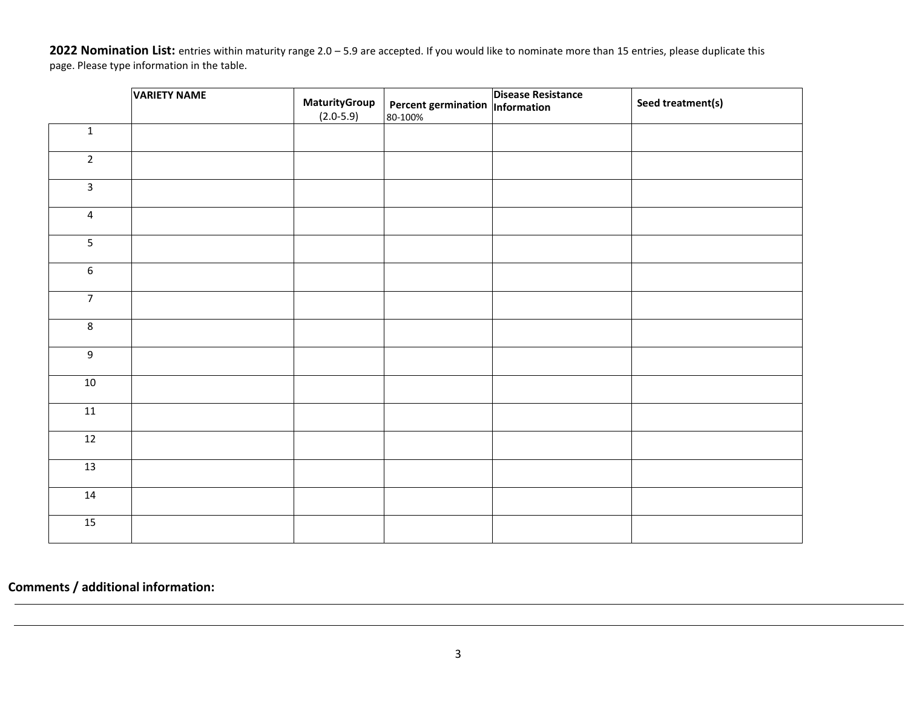**Nomination List:** entries within maturity range 2.0 – 5.9 are accepted. If you would like to nominate more than 15 entries, please duplicate this page. Please type information in the table.

|                                      | <b>VARIETY NAME</b> | MaturityGroup | Percent germination  Information | <b>Disease Resistance</b> | Seed treatment(s) |
|--------------------------------------|---------------------|---------------|----------------------------------|---------------------------|-------------------|
|                                      |                     | $(2.0 - 5.9)$ | 80-100%                          |                           |                   |
| $\mathbf 1$                          |                     |               |                                  |                           |                   |
| $\overline{2}$                       |                     |               |                                  |                           |                   |
| $\mathsf{3}$                         |                     |               |                                  |                           |                   |
| $\overline{4}$                       |                     |               |                                  |                           |                   |
| $\overline{\overline{\overline{5}}}$ |                     |               |                                  |                           |                   |
| $\boldsymbol{6}$                     |                     |               |                                  |                           |                   |
| $\overline{7}$                       |                     |               |                                  |                           |                   |
| $\bf 8$                              |                     |               |                                  |                           |                   |
| $\boldsymbol{9}$                     |                     |               |                                  |                           |                   |
| $10\,$                               |                     |               |                                  |                           |                   |
| 11                                   |                     |               |                                  |                           |                   |
| 12                                   |                     |               |                                  |                           |                   |
| 13                                   |                     |               |                                  |                           |                   |
| 14                                   |                     |               |                                  |                           |                   |
| 15                                   |                     |               |                                  |                           |                   |

**Comments / additional information:**